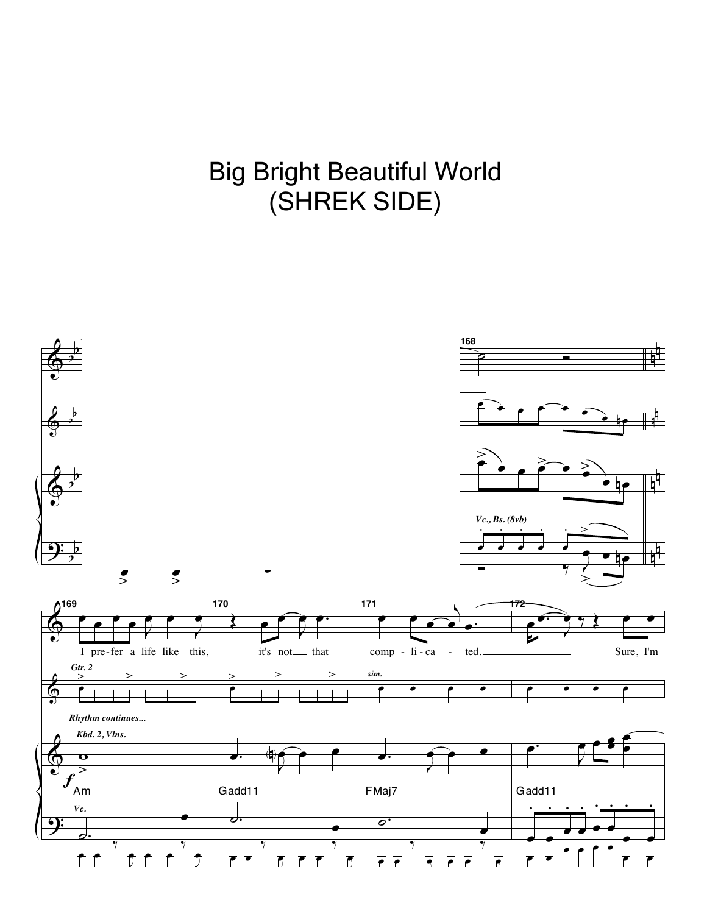## oly Dright Deauthur VVONG<br>CUDEIZ OIDE)  $\mathbf{y}$ .<br>ا SHRI<sub>.</sub><br>\ ۔<br>ا EK :<br>E ∵<br>≀ SIDE<sub>)</sub> œ œ (SHREK SIDE)Big Bright Beautiful World

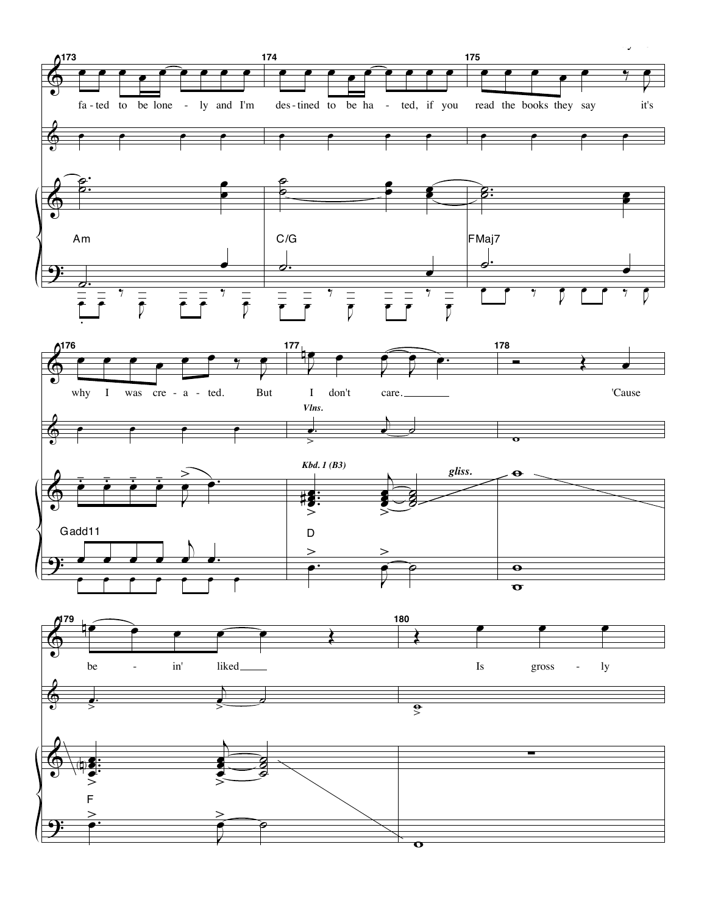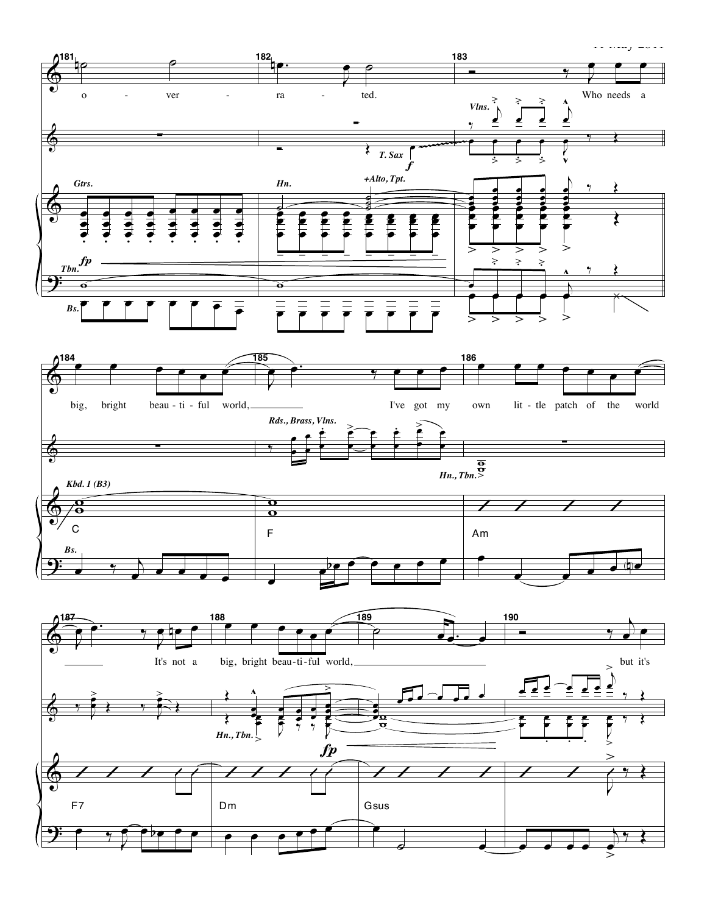